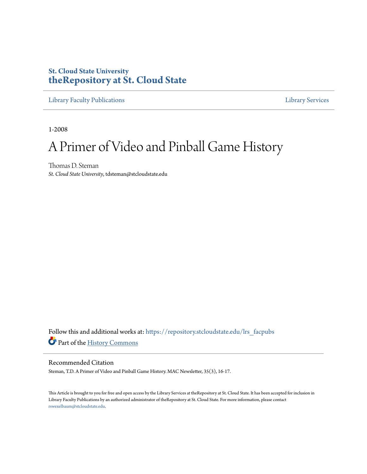# **St. Cloud State University [theRepository at St. Cloud State](https://repository.stcloudstate.edu?utm_source=repository.stcloudstate.edu%2Flrs_facpubs%2F14&utm_medium=PDF&utm_campaign=PDFCoverPages)**

[Library Faculty Publications](https://repository.stcloudstate.edu/lrs_facpubs?utm_source=repository.stcloudstate.edu%2Flrs_facpubs%2F14&utm_medium=PDF&utm_campaign=PDFCoverPages) [Library Services](https://repository.stcloudstate.edu/ls?utm_source=repository.stcloudstate.edu%2Flrs_facpubs%2F14&utm_medium=PDF&utm_campaign=PDFCoverPages)

1-2008

# A Primer of Video and Pinball Game History

Thomas D. Steman *St. Cloud State University*, tdsteman@stcloudstate.edu

Follow this and additional works at: [https://repository.stcloudstate.edu/lrs\\_facpubs](https://repository.stcloudstate.edu/lrs_facpubs?utm_source=repository.stcloudstate.edu%2Flrs_facpubs%2F14&utm_medium=PDF&utm_campaign=PDFCoverPages) Part of the [History Commons](http://network.bepress.com/hgg/discipline/489?utm_source=repository.stcloudstate.edu%2Flrs_facpubs%2F14&utm_medium=PDF&utm_campaign=PDFCoverPages)

#### Recommended Citation

Steman, T.D. A Primer of Video and Pinball Game History. MAC Newsletter, 35(3), 16-17.

This Article is brought to you for free and open access by the Library Services at theRepository at St. Cloud State. It has been accepted for inclusion in Library Faculty Publications by an authorized administrator of theRepository at St. Cloud State. For more information, please contact [rswexelbaum@stcloudstate.edu](mailto:rswexelbaum@stcloudstate.edu).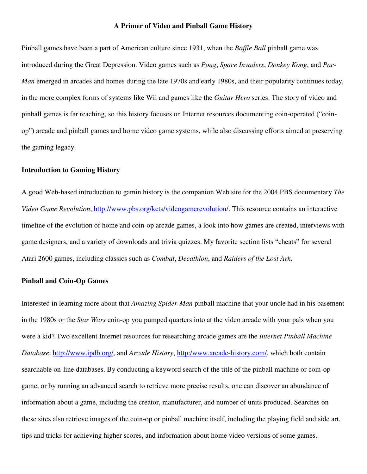#### **A Primer of Video and Pinball Game History**

Pinball games have been a part of American culture since 1931, when the *Baffle Ball* pinball game was introduced during the Great Depression. Video games such as *Pong*, *Space Invaders*, *Donkey Kong*, and *Pac-Man* emerged in arcades and homes during the late 1970s and early 1980s, and their popularity continues today, in the more complex forms of systems like Wii and games like the *Guitar Hero* series. The story of video and pinball games is far reaching, so this history focuses on Internet resources documenting coin-operated ("coinop") arcade and pinball games and home video game systems, while also discussing efforts aimed at preserving the gaming legacy.

#### **Introduction to Gaming History**

A good Web-based introduction to gamin history is the companion Web site for the 2004 PBS documentary *The Video Game Revolution*, http://www.pbs.org/kcts/videogamerevolution/. This resource contains an interactive timeline of the evolution of home and coin-op arcade games, a look into how games are created, interviews with game designers, and a variety of downloads and trivia quizzes. My favorite section lists "cheats" for several Atari 2600 games, including classics such as *Combat*, *Decathlon*, and *Raiders of the Lost Ark*.

## **Pinball and Coin-Op Games**

Interested in learning more about that *Amazing Spider-Man* pinball machine that your uncle had in his basement in the 1980s or the *Star Wars* coin-op you pumped quarters into at the video arcade with your pals when you were a kid? Two excellent Internet resources for researching arcade games are the *Internet Pinball Machine Database*, http://www.ipdb.org/, and *Arcade History*, http:/www.arcade-history.com/, which both contain searchable on-line databases. By conducting a keyword search of the title of the pinball machine or coin-op game, or by running an advanced search to retrieve more precise results, one can discover an abundance of information about a game, including the creator, manufacturer, and number of units produced. Searches on these sites also retrieve images of the coin-op or pinball machine itself, including the playing field and side art, tips and tricks for achieving higher scores, and information about home video versions of some games.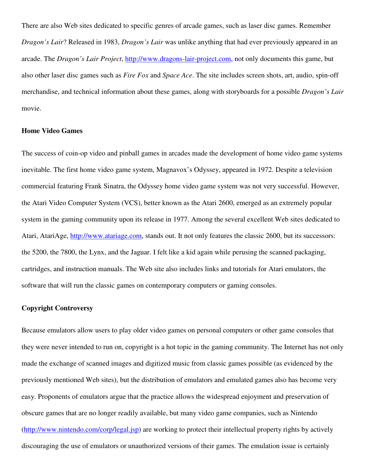There are also Web sites dedicated to specific genres of arcade games, such as laser disc games. Remember *Dragon's Lair*? Released in 1983, *Dragon's Lair* was unlike anything that had ever previously appeared in an arcade. The *Dragon's Lair Project*, http://www.dragons-lair-project.com, not only documents this game, but also other laser disc games such as *Fire Fox* and *Space Ace*. The site includes screen shots, art, audio, spin-off merchandise, and technical information about these games, along with storyboards for a possible *Dragon's Lair* movie.

#### **Home Video Games**

The success of coin-op video and pinball games in arcades made the development of home video game systems inevitable. The first home video game system, Magnavox's Odyssey, appeared in 1972. Despite a television commercial featuring Frank Sinatra, the Odyssey home video game system was not very successful. However, the Atari Video Computer System (VCS), better known as the Atari 2600, emerged as an extremely popular system in the gaming community upon its release in 1977. Among the several excellent Web sites dedicated to Atari, AtariAge, http://www.atariage.com, stands out. It not only features the classic 2600, but its successors: the 5200, the 7800, the Lynx, and the Jaguar. I felt like a kid again while perusing the scanned packaging, cartridges, and instruction manuals. The Web site also includes links and tutorials for Atari emulators, the software that will run the classic games on contemporary computers or gaming consoles.

#### **Copyright Controversy**

Because emulators allow users to play older video games on personal computers or other game consoles that they were never intended to run on, copyright is a hot topic in the gaming community. The Internet has not only made the exchange of scanned images and digitized music from classic games possible (as evidenced by the previously mentioned Web sites), but the distribution of emulators and emulated games also has become very easy. Proponents of emulators argue that the practice allows the widespread enjoyment and preservation of obscure games that are no longer readily available, but many video game companies, such as Nintendo (http://www.nintendo.com/corp/legal.jsp) are working to protect their intellectual property rights by actively discouraging the use of emulators or unauthorized versions of their games. The emulation issue is certainly